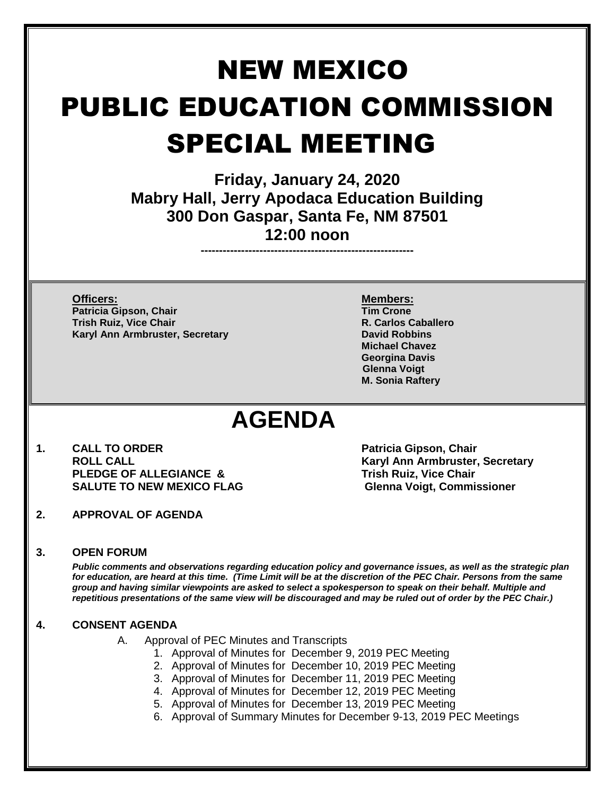# NEW MEXICO PUBLIC EDUCATION COMMISSION SPECIAL MEETING

**Friday, January 24, 2020 Mabry Hall, Jerry Apodaca Education Building 300 Don Gaspar, Santa Fe, NM 87501 12:00 noon**

**----------------------------------------------------------**

**Officers: Members: Patricia Gipson, Chair Trish Ruiz, Vice Chair R. Carlos Caballero Karyl Ann Armbruster, Secretary <b>David Robbins David Robbins** 

**Michael Chavez Georgina Davis Glenna Voigt M. Sonia Raftery**

## **AGENDA**

- **1. CALL TO ORDER Patricia Gipson, Chair ROLL CALL Karyl Ann Armbruster, Secretary PLEDGE OF ALLEGIANCE & Trish Ruiz, Vice Chair SALUTE TO NEW MEXICO FLAG Glenna Voigt, Commissioner**
- **2. APPROVAL OF AGENDA**

### **3. OPEN FORUM**

*Public comments and observations regarding education policy and governance issues, as well as the strategic plan for education, are heard at this time. (Time Limit will be at the discretion of the PEC Chair. Persons from the same group and having similar viewpoints are asked to select a spokesperson to speak on their behalf. Multiple and repetitious presentations of the same view will be discouraged and may be ruled out of order by the PEC Chair.)*

#### **4. CONSENT AGENDA**

- A. Approval of PEC Minutes and Transcripts
	- 1. Approval of Minutes for December 9, 2019 PEC Meeting
	- 2. Approval of Minutes for December 10, 2019 PEC Meeting
	- 3. Approval of Minutes for December 11, 2019 PEC Meeting
	- 4. Approval of Minutes for December 12, 2019 PEC Meeting
		- 5. Approval of Minutes for December 13, 2019 PEC Meeting
	- 6. Approval of Summary Minutes for December 9-13, 2019 PEC Meetings